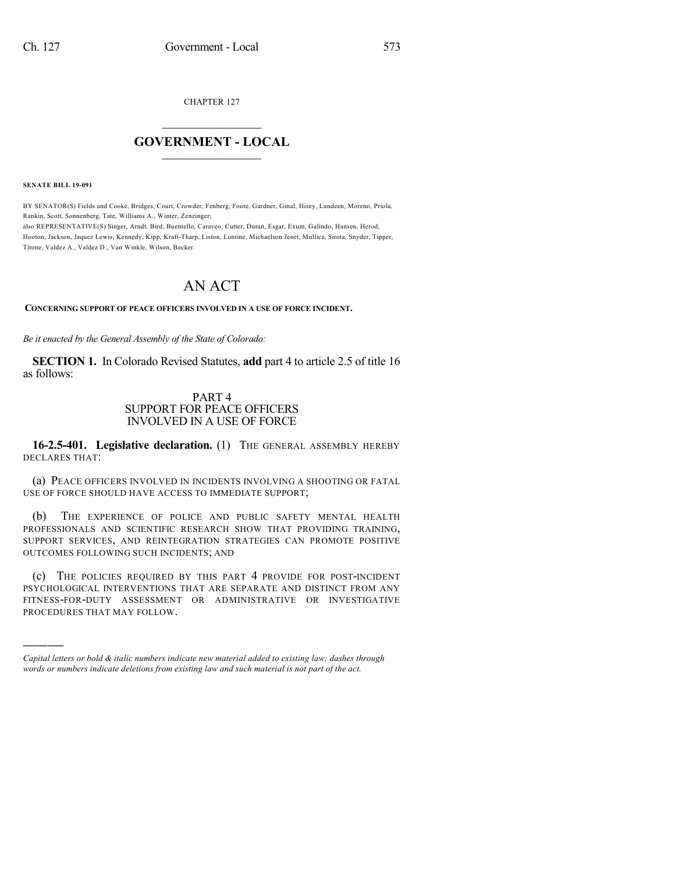CHAPTER 127

## $\overline{\phantom{a}}$  . The set of the set of the set of the set of the set of the set of the set of the set of the set of the set of the set of the set of the set of the set of the set of the set of the set of the set of the set o **GOVERNMENT - LOCAL**  $\_$

**SENATE BILL 19-091**

)))))

BY SENATOR(S) Fields and Cooke, Bridges, Court, Crowder, Fenberg, Foote, Gardner, Ginal, Hisey, Lundeen, Moreno, Priola, Rankin, Scott, Sonnenberg, Tate, Williams A., Winter, Zenzinger; also REPRESENTATIVE(S) Singer, Arndt, Bird, Buentello, Caraveo, Cutter, Duran, Esgar, Exum, Galindo, Hansen, Herod, Hooton, Jackson, Jaquez Lewis, Kennedy, Kipp, Kraft-Tharp, Liston, Lontine, Michaelson Jenet, Mullica, Sirota, Snyder, Tipper, Titone, Valdez A., Valdez D., Van Winkle, Wilson, Becker.

## AN ACT

**CONCERNING SUPPORT OF PEACE OFFICERS INVOLVED IN A USE OF FORCE INCIDENT.**

*Be it enacted by the General Assembly of the State of Colorado:*

**SECTION 1.** In Colorado Revised Statutes, **add** part 4 to article 2.5 of title 16 as follows:

## PART 4 SUPPORT FOR PEACE OFFICERS INVOLVED IN A USE OF FORCE

**16-2.5-401. Legislative declaration.** (1) THE GENERAL ASSEMBLY HEREBY DECLARES THAT:

(a) PEACE OFFICERS INVOLVED IN INCIDENTS INVOLVING A SHOOTING OR FATAL USE OF FORCE SHOULD HAVE ACCESS TO IMMEDIATE SUPPORT;

(b) THE EXPERIENCE OF POLICE AND PUBLIC SAFETY MENTAL HEALTH PROFESSIONALS AND SCIENTIFIC RESEARCH SHOW THAT PROVIDING TRAINING, SUPPORT SERVICES, AND REINTEGRATION STRATEGIES CAN PROMOTE POSITIVE OUTCOMES FOLLOWING SUCH INCIDENTS; AND

(c) THE POLICIES REQUIRED BY THIS PART 4 PROVIDE FOR POST-INCIDENT PSYCHOLOGICAL INTERVENTIONS THAT ARE SEPARATE AND DISTINCT FROM ANY FITNESS-FOR-DUTY ASSESSMENT OR ADMINISTRATIVE OR INVESTIGATIVE PROCEDURES THAT MAY FOLLOW.

*Capital letters or bold & italic numbers indicate new material added to existing law; dashes through words or numbers indicate deletions from existing law and such material is not part of the act.*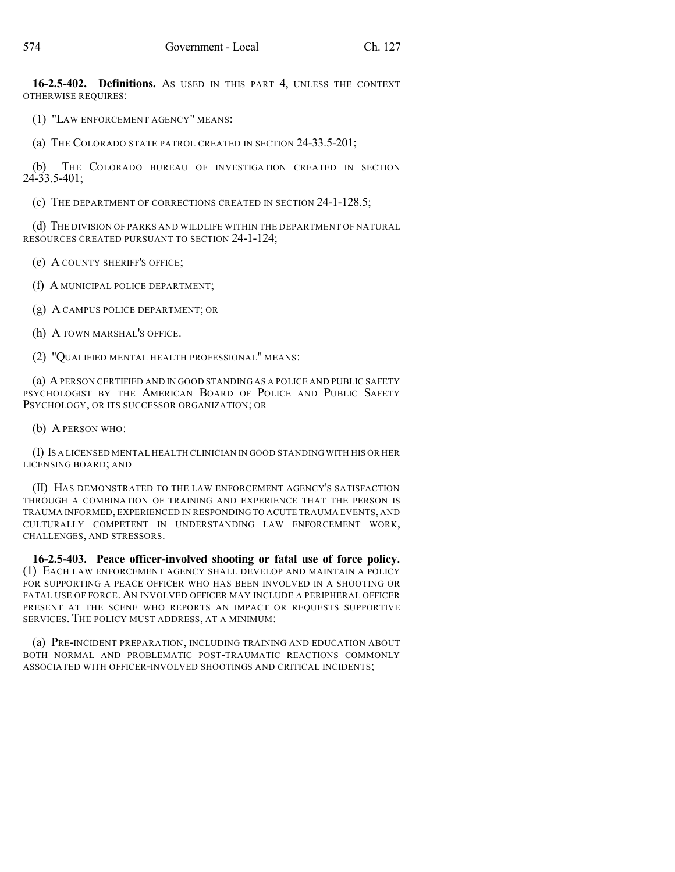**16-2.5-402. Definitions.** AS USED IN THIS PART 4, UNLESS THE CONTEXT OTHERWISE REQUIRES:

(1) "LAW ENFORCEMENT AGENCY" MEANS:

(a) THE COLORADO STATE PATROL CREATED IN SECTION 24-33.5-201;

(b) THE COLORADO BUREAU OF INVESTIGATION CREATED IN SECTION 24-33.5-401;

(c) THE DEPARTMENT OF CORRECTIONS CREATED IN SECTION 24-1-128.5;

(d) THE DIVISION OF PARKS AND WILDLIFE WITHIN THE DEPARTMENT OF NATURAL RESOURCES CREATED PURSUANT TO SECTION 24-1-124;

(e) A COUNTY SHERIFF'S OFFICE;

(f) A MUNICIPAL POLICE DEPARTMENT;

(g) A CAMPUS POLICE DEPARTMENT; OR

(h) A TOWN MARSHAL'S OFFICE.

(2) "QUALIFIED MENTAL HEALTH PROFESSIONAL" MEANS:

(a) APERSON CERTIFIED AND IN GOOD STANDING AS A POLICE AND PUBLIC SAFETY PSYCHOLOGIST BY THE AMERICAN BOARD OF POLICE AND PUBLIC SAFETY PSYCHOLOGY, OR ITS SUCCESSOR ORGANIZATION; OR

(b) A PERSON WHO:

(I) IS A LICENSED MENTAL HEALTH CLINICIAN IN GOOD STANDING WITH HIS OR HER LICENSING BOARD; AND

(II) HAS DEMONSTRATED TO THE LAW ENFORCEMENT AGENCY'S SATISFACTION THROUGH A COMBINATION OF TRAINING AND EXPERIENCE THAT THE PERSON IS TRAUMA INFORMED,EXPERIENCED IN RESPONDING TO ACUTE TRAUMA EVENTS,AND CULTURALLY COMPETENT IN UNDERSTANDING LAW ENFORCEMENT WORK, CHALLENGES, AND STRESSORS.

**16-2.5-403. Peace officer-involved shooting or fatal use of force policy.** (1) EACH LAW ENFORCEMENT AGENCY SHALL DEVELOP AND MAINTAIN A POLICY FOR SUPPORTING A PEACE OFFICER WHO HAS BEEN INVOLVED IN A SHOOTING OR FATAL USE OF FORCE. AN INVOLVED OFFICER MAY INCLUDE A PERIPHERAL OFFICER PRESENT AT THE SCENE WHO REPORTS AN IMPACT OR REQUESTS SUPPORTIVE SERVICES. THE POLICY MUST ADDRESS, AT A MINIMUM:

(a) PRE-INCIDENT PREPARATION, INCLUDING TRAINING AND EDUCATION ABOUT BOTH NORMAL AND PROBLEMATIC POST-TRAUMATIC REACTIONS COMMONLY ASSOCIATED WITH OFFICER-INVOLVED SHOOTINGS AND CRITICAL INCIDENTS;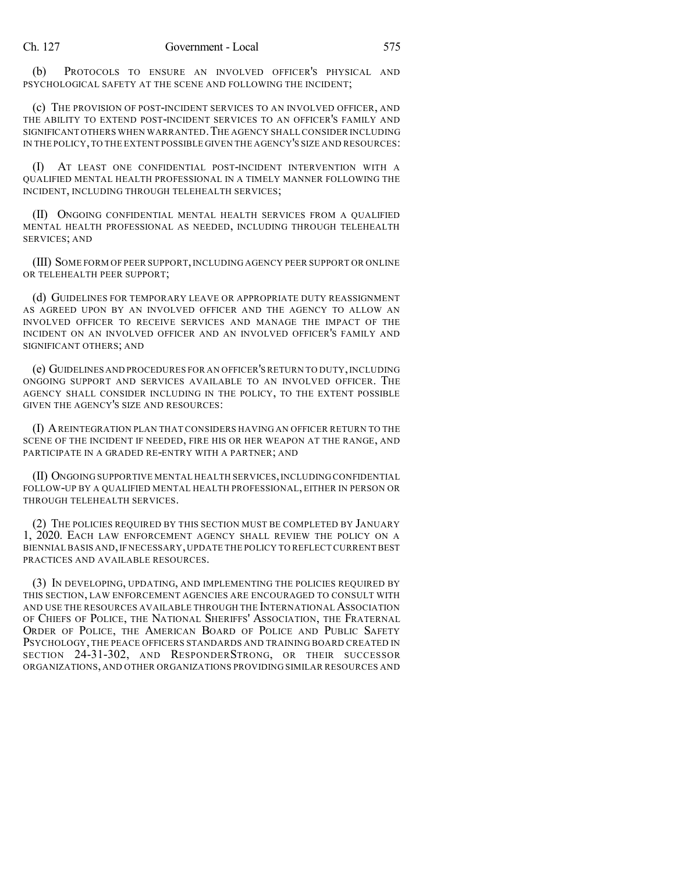(b) PROTOCOLS TO ENSURE AN INVOLVED OFFICER'S PHYSICAL AND PSYCHOLOGICAL SAFETY AT THE SCENE AND FOLLOWING THE INCIDENT;

(c) THE PROVISION OF POST-INCIDENT SERVICES TO AN INVOLVED OFFICER, AND THE ABILITY TO EXTEND POST-INCIDENT SERVICES TO AN OFFICER'S FAMILY AND SIGNIFICANT OTHERS WHEN WARRANTED.THE AGENCY SHALL CONSIDER INCLUDING IN THE POLICY,TO THE EXTENT POSSIBLE GIVEN THE AGENCY'S SIZE AND RESOURCES:

(I) AT LEAST ONE CONFIDENTIAL POST-INCIDENT INTERVENTION WITH A QUALIFIED MENTAL HEALTH PROFESSIONAL IN A TIMELY MANNER FOLLOWING THE INCIDENT, INCLUDING THROUGH TELEHEALTH SERVICES;

(II) ONGOING CONFIDENTIAL MENTAL HEALTH SERVICES FROM A QUALIFIED MENTAL HEALTH PROFESSIONAL AS NEEDED, INCLUDING THROUGH TELEHEALTH SERVICES; AND

(III) SOME FORM OF PEER SUPPORT,INCLUDING AGENCY PEER SUPPORT OR ONLINE OR TELEHEALTH PEER SUPPORT;

(d) GUIDELINES FOR TEMPORARY LEAVE OR APPROPRIATE DUTY REASSIGNMENT AS AGREED UPON BY AN INVOLVED OFFICER AND THE AGENCY TO ALLOW AN INVOLVED OFFICER TO RECEIVE SERVICES AND MANAGE THE IMPACT OF THE INCIDENT ON AN INVOLVED OFFICER AND AN INVOLVED OFFICER'S FAMILY AND SIGNIFICANT OTHERS; AND

(e) GUIDELINES AND PROCEDURES FOR AN OFFICER'S RETURN TO DUTY,INCLUDING ONGOING SUPPORT AND SERVICES AVAILABLE TO AN INVOLVED OFFICER. THE AGENCY SHALL CONSIDER INCLUDING IN THE POLICY, TO THE EXTENT POSSIBLE GIVEN THE AGENCY'S SIZE AND RESOURCES:

(I) AREINTEGRATION PLAN THAT CONSIDERS HAVING AN OFFICER RETURN TO THE SCENE OF THE INCIDENT IF NEEDED, FIRE HIS OR HER WEAPON AT THE RANGE, AND PARTICIPATE IN A GRADED RE-ENTRY WITH A PARTNER; AND

(II) ONGOING SUPPORTIVE MENTAL HEALTH SERVICES,INCLUDING CONFIDENTIAL FOLLOW-UP BY A QUALIFIED MENTAL HEALTH PROFESSIONAL, EITHER IN PERSON OR THROUGH TELEHEALTH SERVICES.

(2) THE POLICIES REQUIRED BY THIS SECTION MUST BE COMPLETED BY JANUARY 1, 2020. EACH LAW ENFORCEMENT AGENCY SHALL REVIEW THE POLICY ON A BIENNIAL BASIS AND, IF NECESSARY, UPDATE THE POLICY TO REFLECT CURRENT BEST PRACTICES AND AVAILABLE RESOURCES.

(3) IN DEVELOPING, UPDATING, AND IMPLEMENTING THE POLICIES REQUIRED BY THIS SECTION, LAW ENFORCEMENT AGENCIES ARE ENCOURAGED TO CONSULT WITH AND USE THE RESOURCES AVAILABLE THROUGH THE INTERNATIONAL ASSOCIATION OF CHIEFS OF POLICE, THE NATIONAL SHERIFFS' ASSOCIATION, THE FRATERNAL ORDER OF POLICE, THE AMERICAN BOARD OF POLICE AND PUBLIC SAFETY PSYCHOLOGY, THE PEACE OFFICERS STANDARDS AND TRAINING BOARD CREATED IN SECTION 24-31-302, AND RESPONDERSTRONG, OR THEIR SUCCESSOR ORGANIZATIONS, AND OTHER ORGANIZATIONS PROVIDING SIMILAR RESOURCES AND